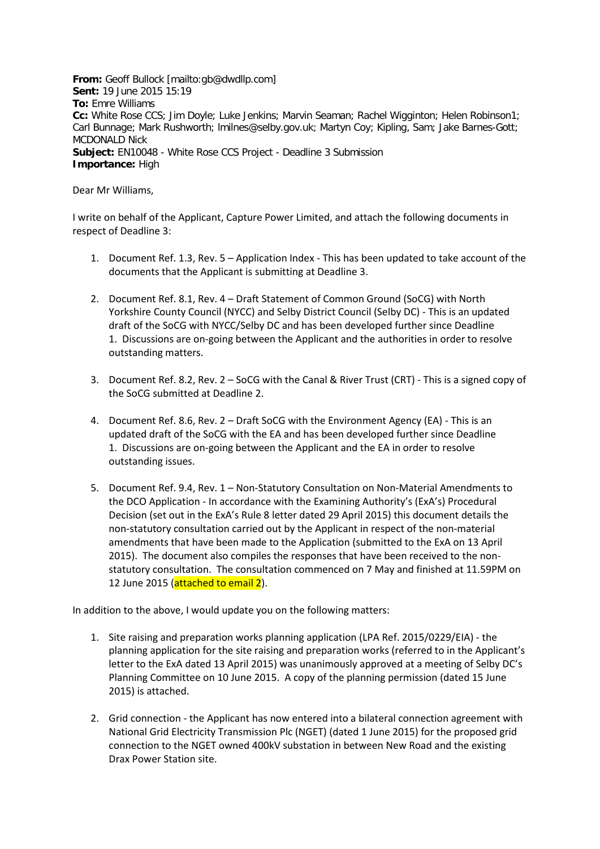**From:** Geoff Bullock [mailto:gb@dwdllp.com] **Sent:** 19 June 2015 15:19 **To:** Emre Williams **Cc:** White Rose CCS; Jim Doyle; Luke Jenkins; Marvin Seaman; Rachel Wigginton; Helen Robinson1; Carl Bunnage; Mark Rushworth; lmilnes@selby.gov.uk; Martyn Coy; Kipling, Sam; Jake Barnes-Gott; MCDONALD Nick **Subject:** EN10048 - White Rose CCS Project - Deadline 3 Submission **Importance:** High

Dear Mr Williams,

I write on behalf of the Applicant, Capture Power Limited, and attach the following documents in respect of Deadline 3:

- 1. Document Ref. 1.3, Rev. 5 Application Index This has been updated to take account of the documents that the Applicant is submitting at Deadline 3.
- 2. Document Ref. 8.1, Rev. 4 Draft Statement of Common Ground (SoCG) with North Yorkshire County Council (NYCC) and Selby District Council (Selby DC) - This is an updated draft of the SoCG with NYCC/Selby DC and has been developed further since Deadline 1. Discussions are on-going between the Applicant and the authorities in order to resolve outstanding matters.
- 3. Document Ref. 8.2, Rev. 2 SoCG with the Canal & River Trust (CRT) This is a signed copy of the SoCG submitted at Deadline 2.
- 4. Document Ref. 8.6, Rev. 2 Draft SoCG with the Environment Agency (EA) This is an updated draft of the SoCG with the EA and has been developed further since Deadline 1. Discussions are on-going between the Applicant and the EA in order to resolve outstanding issues.
- 5. Document Ref. 9.4, Rev. 1 Non-Statutory Consultation on Non-Material Amendments to the DCO Application - In accordance with the Examining Authority's (ExA's) Procedural Decision (set out in the ExA's Rule 8 letter dated 29 April 2015) this document details the non-statutory consultation carried out by the Applicant in respect of the non-material amendments that have been made to the Application (submitted to the ExA on 13 April 2015). The document also compiles the responses that have been received to the nonstatutory consultation. The consultation commenced on 7 May and finished at 11.59PM on 12 June 2015 (attached to email 2).

In addition to the above, I would update you on the following matters:

- 1. Site raising and preparation works planning application (LPA Ref. 2015/0229/EIA) the planning application for the site raising and preparation works (referred to in the Applicant's letter to the ExA dated 13 April 2015) was unanimously approved at a meeting of Selby DC's Planning Committee on 10 June 2015. A copy of the planning permission (dated 15 June 2015) is attached.
- 2. Grid connection the Applicant has now entered into a bilateral connection agreement with National Grid Electricity Transmission Plc (NGET) (dated 1 June 2015) for the proposed grid connection to the NGET owned 400kV substation in between New Road and the existing Drax Power Station site.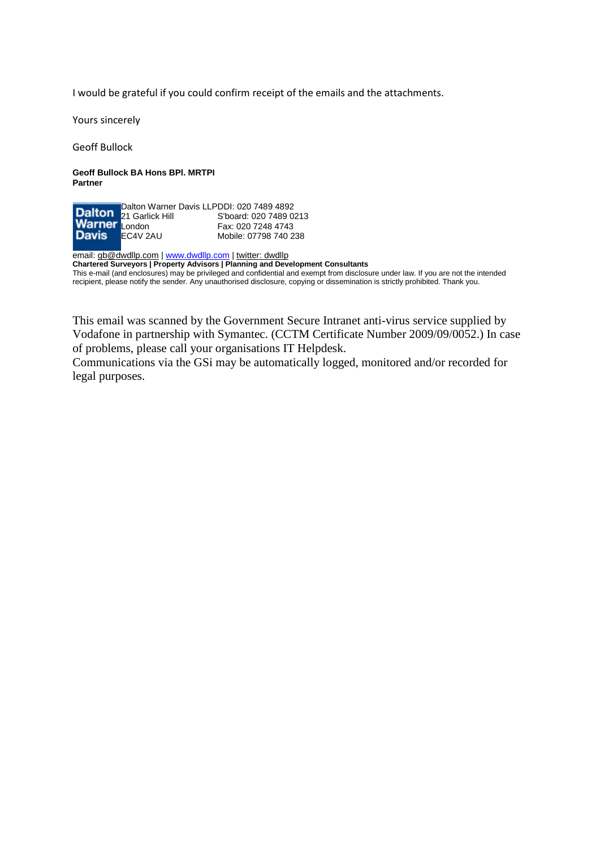I would be grateful if you could confirm receipt of the emails and the attachments.

Yours sincerely

Geoff Bullock

**Geoff Bullock BA Hons BPl. MRTPI Partner**

Dalton Warner Davis LLP 21 Garlick Hill **London** EC4V 2AU DDI: 020 7489 4892 S'board: 020 7489 0213 Fax: 020 7248 4743 Mobile: 07798 740 238

email: [gb@dwdllp.com](mailto:gb@dwdllp.com) [| www.dwdllp.com](http://www.dwdllp.com/) | [twitter: dwdllp](http://twitter.com/%23!/dwdllp) **Chartered Surveyors | Property Advisors | Planning and Development Consultants** This e-mail (and enclosures) may be privileged and confidential and exempt from disclosure under law. If you are not the intended recipient, please notify the sender. Any unauthorised disclosure, copying or dissemination is strictly prohibited. Thank you.

This email was scanned by the Government Secure Intranet anti-virus service supplied by Vodafone in partnership with Symantec. (CCTM Certificate Number 2009/09/0052.) In case of problems, please call your organisations IT Helpdesk.

Communications via the GSi may be automatically logged, monitored and/or recorded for legal purposes.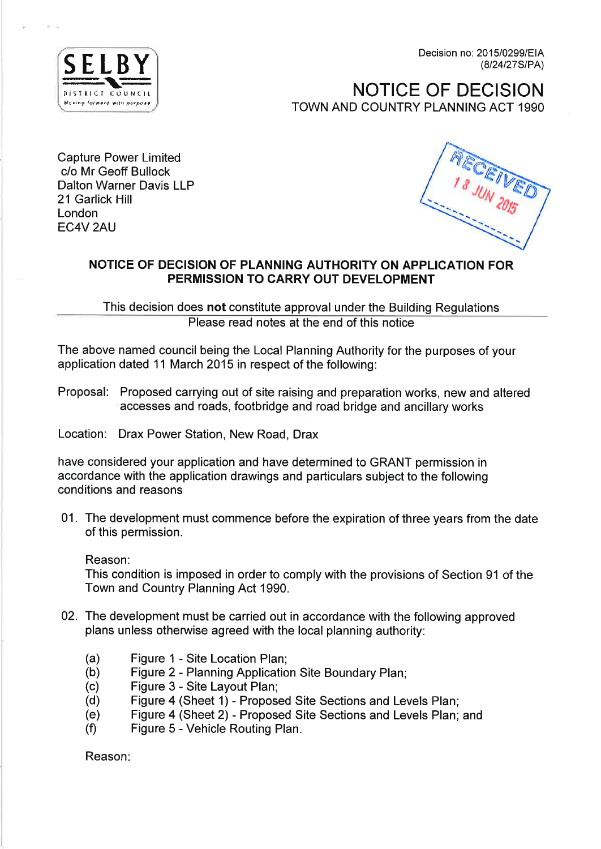Decision no: 2015/0299/EIA (8/24/27S/PA)



**NOTICE OF DECISION** TOWN AND COUNTRY PLANNING ACT 1990

**Capture Power Limited** c/o Mr Geoff Bullock **Dalton Warner Davis LLP** 21 Garlick Hill London EC4V<sub>2AU</sub>



# NOTICE OF DECISION OF PLANNING AUTHORITY ON APPLICATION FOR PERMISSION TO CARRY OUT DEVELOPMENT

This decision does not constitute approval under the Building Regulations Please read notes at the end of this notice

The above named council being the Local Planning Authority for the purposes of your application dated 11 March 2015 in respect of the following:

Proposal: Proposed carrying out of site raising and preparation works, new and altered accesses and roads, footbridge and road bridge and ancillary works

Location: Drax Power Station, New Road, Drax

have considered your application and have determined to GRANT permission in accordance with the application drawings and particulars subject to the following conditions and reasons

01. The development must commence before the expiration of three years from the date of this permission.

Reason:

This condition is imposed in order to comply with the provisions of Section 91 of the Town and Country Planning Act 1990.

- 02. The development must be carried out in accordance with the following approved plans unless otherwise agreed with the local planning authority:
	- $(a)$ Figure 1 - Site Location Plan;
	- Figure 2 Planning Application Site Boundary Plan;  $(b)$
	- Figure 3 Site Layout Plan;  $(c)$
	- $(d)$ Figure 4 (Sheet 1) - Proposed Site Sections and Levels Plan;
	- Figure 4 (Sheet 2) Proposed Site Sections and Levels Plan; and  $(e)$
	- $(f)$ Figure 5 - Vehicle Routing Plan.

Reason: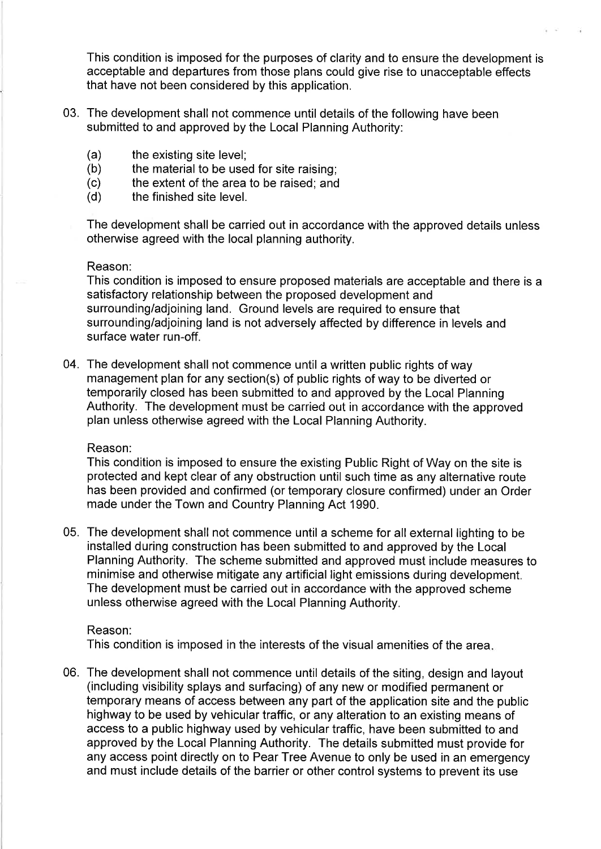This condition is imposed for the purposes of clarity and to ensure the development is acceptable and departures from those plans could give rise to unacceptable effects that have not been considered by this application.

- 03. The development shall not commence until details of the following have been submitted to and approved by the Local Planning Authority:
	- $(a)$ the existing site level:
	- $(b)$ the material to be used for site raising;
	- $(c)$ the extent of the area to be raised; and
	- $(d)$ the finished site level.

The development shall be carried out in accordance with the approved details unless otherwise agreed with the local planning authority.

### Reason:

This condition is imposed to ensure proposed materials are acceptable and there is a satisfactory relationship between the proposed development and surrounding/adjoining land. Ground levels are required to ensure that surrounding/adjoining land is not adversely affected by difference in levels and surface water run-off.

04. The development shall not commence until a written public rights of way management plan for any section(s) of public rights of way to be diverted or temporarily closed has been submitted to and approved by the Local Planning Authority. The development must be carried out in accordance with the approved plan unless otherwise agreed with the Local Planning Authority.

### Reason:

This condition is imposed to ensure the existing Public Right of Way on the site is protected and kept clear of any obstruction until such time as any alternative route has been provided and confirmed (or temporary closure confirmed) under an Order made under the Town and Country Planning Act 1990.

05. The development shall not commence until a scheme for all external lighting to be installed during construction has been submitted to and approved by the Local Planning Authority. The scheme submitted and approved must include measures to minimise and otherwise mitigate any artificial light emissions during development. The development must be carried out in accordance with the approved scheme unless otherwise agreed with the Local Planning Authority.

# Reason:

This condition is imposed in the interests of the visual amenities of the area.

06. The development shall not commence until details of the siting, design and layout (including visibility splays and surfacing) of any new or modified permanent or temporary means of access between any part of the application site and the public highway to be used by vehicular traffic, or any alteration to an existing means of access to a public highway used by vehicular traffic, have been submitted to and approved by the Local Planning Authority. The details submitted must provide for any access point directly on to Pear Tree Avenue to only be used in an emergency and must include details of the barrier or other control systems to prevent its use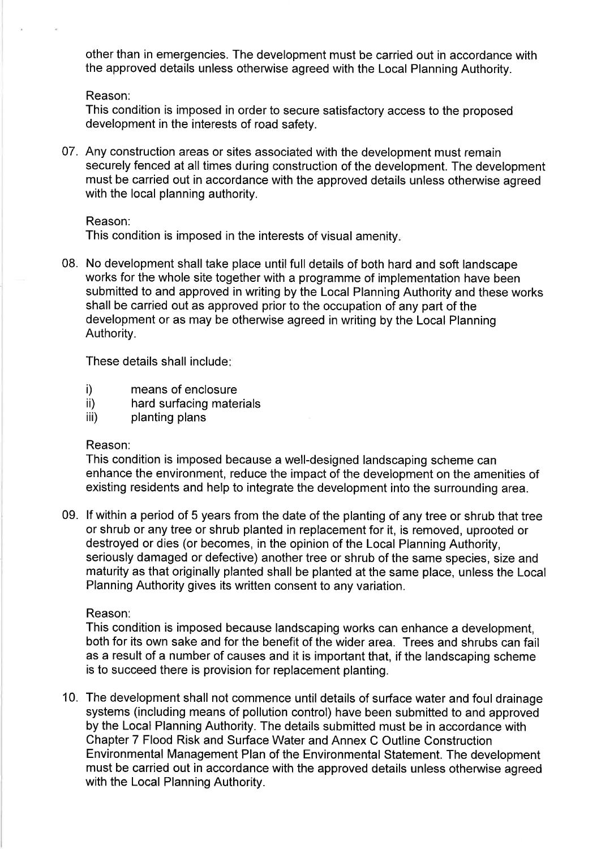other than in emergencies. The development must be carried out in accordance with the approved details unless otherwise agreed with the Local Planning Authority.

Reason:

This condition is imposed in order to secure satisfactory access to the proposed development in the interests of road safety.

07. Any construction areas or sites associated with the development must remain securely fenced at all times during construction of the development. The development must be carried out in accordance with the approved details unless otherwise agreed with the local planning authority.

# Reason:

This condition is imposed in the interests of visual amenity.

08. No development shall take place until full details of both hard and soft landscape works for the whole site together with a programme of implementation have been submitted to and approved in writing by the Local Planning Authority and these works shall be carried out as approved prior to the occupation of any part of the development or as may be otherwise agreed in writing by the Local Planning Authority.

These details shall include:

- means of enclosure  $i)$
- $\mathsf{ii}$ hard surfacing materials
- iii) planting plans

# Reason:

This condition is imposed because a well-designed landscaping scheme can enhance the environment, reduce the impact of the development on the amenities of existing residents and help to integrate the development into the surrounding area.

09. If within a period of 5 years from the date of the planting of any tree or shrub that tree or shrub or any tree or shrub planted in replacement for it, is removed, uprooted or destroyed or dies (or becomes, in the opinion of the Local Planning Authority, seriously damaged or defective) another tree or shrub of the same species, size and maturity as that originally planted shall be planted at the same place, unless the Local Planning Authority gives its written consent to any variation.

# Reason:

This condition is imposed because landscaping works can enhance a development, both for its own sake and for the benefit of the wider area. Trees and shrubs can fail as a result of a number of causes and it is important that, if the landscaping scheme is to succeed there is provision for replacement planting.

10. The development shall not commence until details of surface water and foul drainage systems (including means of pollution control) have been submitted to and approved by the Local Planning Authority. The details submitted must be in accordance with Chapter 7 Flood Risk and Surface Water and Annex C Outline Construction Environmental Management Plan of the Environmental Statement. The development must be carried out in accordance with the approved details unless otherwise agreed with the Local Planning Authority.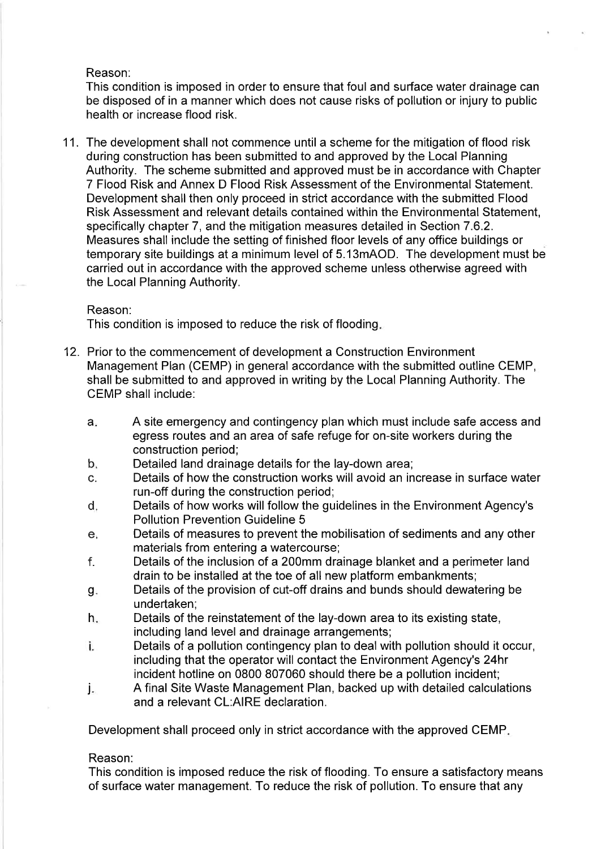# Reason:

This condition is imposed in order to ensure that foul and surface water drainage can be disposed of in a manner which does not cause risks of pollution or injury to public health or increase flood risk.

11. The development shall not commence until a scheme for the mitigation of flood risk during construction has been submitted to and approved by the Local Planning Authority. The scheme submitted and approved must be in accordance with Chapter 7 Flood Risk and Annex D Flood Risk Assessment of the Environmental Statement. Development shall then only proceed in strict accordance with the submitted Flood Risk Assessment and relevant details contained within the Environmental Statement, specifically chapter 7, and the mitigation measures detailed in Section 7.6.2. Measures shall include the setting of finished floor levels of any office buildings or temporary site buildings at a minimum level of 5.13mAOD. The development must be carried out in accordance with the approved scheme unless otherwise agreed with the Local Planning Authority.

## Reason:

This condition is imposed to reduce the risk of flooding.

- 12. Prior to the commencement of development a Construction Environment Management Plan (CEMP) in general accordance with the submitted outline CEMP, shall be submitted to and approved in writing by the Local Planning Authority. The **CEMP** shall include:
	- A site emergency and contingency plan which must include safe access and  $a<sub>i</sub>$ egress routes and an area of safe refuge for on-site workers during the construction period;
	- Detailed land drainage details for the lay-down area;  $b<sub>1</sub>$
	- Details of how the construction works will avoid an increase in surface water  $C_{-}$ run-off during the construction period;
	- d. Details of how works will follow the guidelines in the Environment Agency's **Pollution Prevention Guideline 5**
	- Details of measures to prevent the mobilisation of sediments and any other  $e<sub>i</sub>$ materials from entering a watercourse;
	- Details of the inclusion of a 200mm drainage blanket and a perimeter land f. drain to be installed at the toe of all new platform embankments;
	- Details of the provision of cut-off drains and bunds should dewatering be g. undertaken;
	- Details of the reinstatement of the lay-down area to its existing state,  $h_{\cdot}$ including land level and drainage arrangements;
	- ì. Details of a pollution contingency plan to deal with pollution should it occur, including that the operator will contact the Environment Agency's 24hr incident hotline on 0800 807060 should there be a pollution incident;
	- A final Site Waste Management Plan, backed up with detailed calculations j. and a relevant CL:AIRE declaration.

Development shall proceed only in strict accordance with the approved CEMP.

# Reason:

This condition is imposed reduce the risk of flooding. To ensure a satisfactory means of surface water management. To reduce the risk of pollution. To ensure that any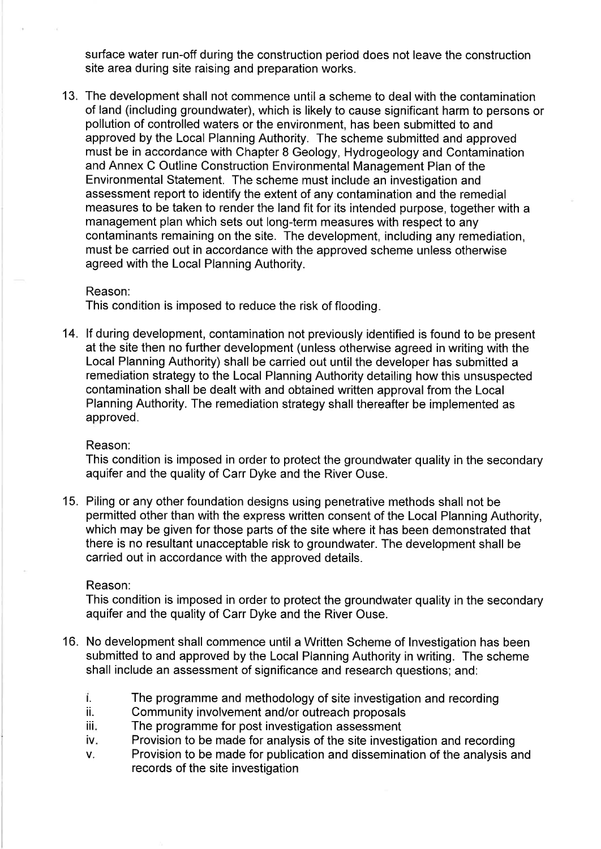surface water run-off during the construction period does not leave the construction site area during site raising and preparation works.

13. The development shall not commence until a scheme to deal with the contamination of land (including groundwater), which is likely to cause significant harm to persons or pollution of controlled waters or the environment, has been submitted to and approved by the Local Planning Authority. The scheme submitted and approved must be in accordance with Chapter 8 Geology, Hydrogeology and Contamination and Annex C Outline Construction Environmental Management Plan of the Environmental Statement. The scheme must include an investigation and assessment report to identify the extent of any contamination and the remedial measures to be taken to render the land fit for its intended purpose, together with a management plan which sets out long-term measures with respect to any contaminants remaining on the site. The development, including any remediation, must be carried out in accordance with the approved scheme unless otherwise agreed with the Local Planning Authority.

#### Reason:

This condition is imposed to reduce the risk of flooding.

14. If during development, contamination not previously identified is found to be present at the site then no further development (unless otherwise agreed in writing with the Local Planning Authority) shall be carried out until the developer has submitted a remediation strategy to the Local Planning Authority detailing how this unsuspected contamination shall be dealt with and obtained written approval from the Local Planning Authority. The remediation strategy shall thereafter be implemented as approved.

### Reason:

This condition is imposed in order to protect the groundwater quality in the secondary aquifer and the quality of Carr Dyke and the River Ouse.

15. Piling or any other foundation designs using penetrative methods shall not be permitted other than with the express written consent of the Local Planning Authority, which may be given for those parts of the site where it has been demonstrated that there is no resultant unacceptable risk to groundwater. The development shall be carried out in accordance with the approved details.

#### Reason:

This condition is imposed in order to protect the groundwater quality in the secondary aquifer and the quality of Carr Dyke and the River Ouse.

- 16. No development shall commence until a Written Scheme of Investigation has been submitted to and approved by the Local Planning Authority in writing. The scheme shall include an assessment of significance and research questions; and:
	- Ĩ. The programme and methodology of site investigation and recording
	- ii. Community involvement and/or outreach proposals
	- The programme for post investigation assessment iiia
	- Provision to be made for analysis of the site investigation and recording iv.
	- Provision to be made for publication and dissemination of the analysis and V. records of the site investigation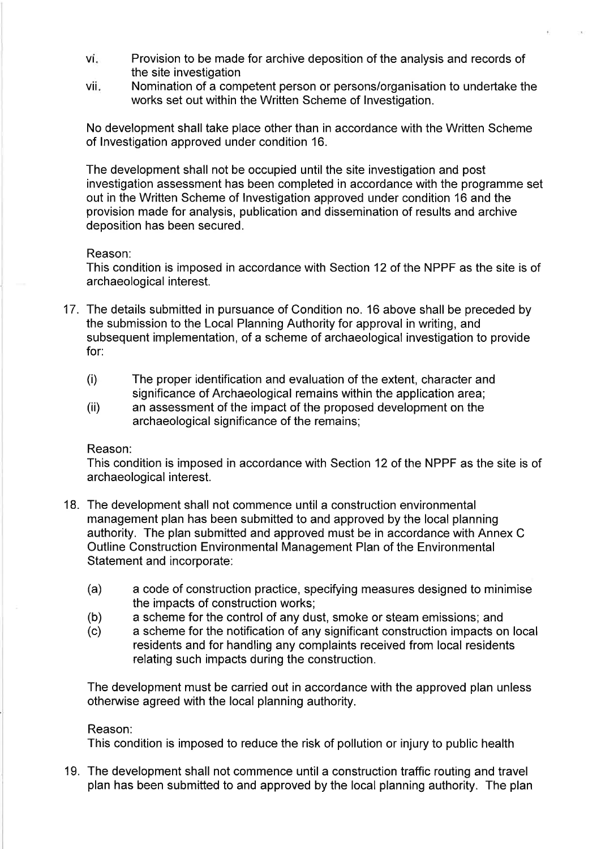- vi. Provision to be made for archive deposition of the analysis and records of the site investigation
- Nomination of a competent person or persons/organisation to undertake the vii. works set out within the Written Scheme of Investigation.

No development shall take place other than in accordance with the Written Scheme of Investigation approved under condition 16.

The development shall not be occupied until the site investigation and post investigation assessment has been completed in accordance with the programme set out in the Written Scheme of Investigation approved under condition 16 and the provision made for analysis, publication and dissemination of results and archive deposition has been secured.

### Reason:

This condition is imposed in accordance with Section 12 of the NPPF as the site is of archaeological interest.

- 17. The details submitted in pursuance of Condition no. 16 above shall be preceded by the submission to the Local Planning Authority for approval in writing, and subsequent implementation, of a scheme of archaeological investigation to provide  $for:$ 
	- $(i)$ The proper identification and evaluation of the extent, character and significance of Archaeological remains within the application area;
	- an assessment of the impact of the proposed development on the  $(ii)$ archaeological significance of the remains;

### Reason:

This condition is imposed in accordance with Section 12 of the NPPF as the site is of archaeological interest.

- 18. The development shall not commence until a construction environmental management plan has been submitted to and approved by the local planning authority. The plan submitted and approved must be in accordance with Annex C Outline Construction Environmental Management Plan of the Environmental Statement and incorporate:
	- $(a)$ a code of construction practice, specifying measures designed to minimise the impacts of construction works;
	- a scheme for the control of any dust, smoke or steam emissions; and  $(b)$
	- a scheme for the notification of any significant construction impacts on local  $(c)$ residents and for handling any complaints received from local residents relating such impacts during the construction.

The development must be carried out in accordance with the approved plan unless otherwise agreed with the local planning authority.

# Reason:

This condition is imposed to reduce the risk of pollution or injury to public health

19. The development shall not commence until a construction traffic routing and travel plan has been submitted to and approved by the local planning authority. The plan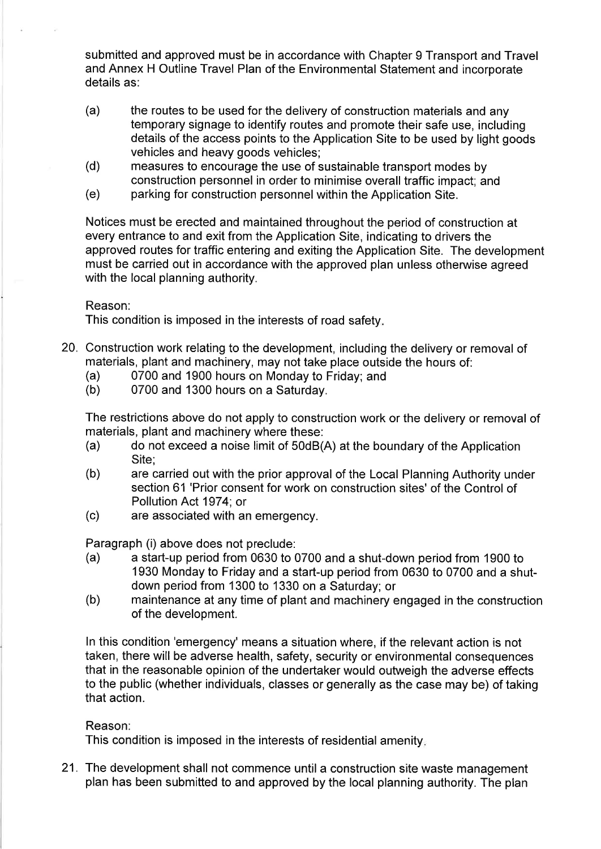submitted and approved must be in accordance with Chapter 9 Transport and Travel and Annex H Outline Travel Plan of the Environmental Statement and incorporate details as:

- $(a)$ the routes to be used for the delivery of construction materials and any temporary signage to identify routes and promote their safe use, including details of the access points to the Application Site to be used by light goods vehicles and heavy goods vehicles;
- $(d)$ measures to encourage the use of sustainable transport modes by construction personnel in order to minimise overall traffic impact: and
- $(e)$ parking for construction personnel within the Application Site.

Notices must be erected and maintained throughout the period of construction at every entrance to and exit from the Application Site, indicating to drivers the approved routes for traffic entering and exiting the Application Site. The development must be carried out in accordance with the approved plan unless otherwise agreed with the local planning authority.

Reason:

This condition is imposed in the interests of road safety.

- 20. Construction work relating to the development, including the delivery or removal of materials, plant and machinery, may not take place outside the hours of:
	- 0700 and 1900 hours on Monday to Friday; and  $(a)$
	- $(b)$ 0700 and 1300 hours on a Saturday.

The restrictions above do not apply to construction work or the delivery or removal of materials, plant and machinery where these:

- do not exceed a noise limit of 50dB(A) at the boundary of the Application  $(a)$ Site:
- $(b)$ are carried out with the prior approval of the Local Planning Authority under section 61 'Prior consent for work on construction sites' of the Control of Pollution Act 1974; or
- $(c)$ are associated with an emergency.

Paragraph (i) above does not preclude:

- a start-up period from 0630 to 0700 and a shut-down period from 1900 to  $(a)$ 1930 Monday to Friday and a start-up period from 0630 to 0700 and a shutdown period from 1300 to 1330 on a Saturday; or
- maintenance at any time of plant and machinery engaged in the construction  $(b)$ of the development.

In this condition 'emergency' means a situation where, if the relevant action is not taken, there will be adverse health, safety, security or environmental consequences that in the reasonable opinion of the undertaker would outweigh the adverse effects to the public (whether individuals, classes or generally as the case may be) of taking that action.

# Reason:

This condition is imposed in the interests of residential amenity.

21. The development shall not commence until a construction site waste management plan has been submitted to and approved by the local planning authority. The plan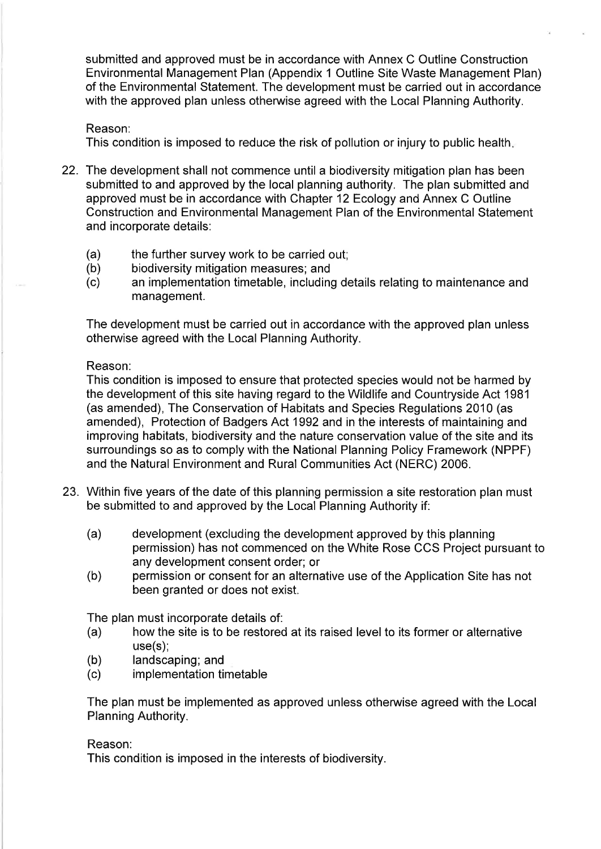submitted and approved must be in accordance with Annex C Outline Construction Environmental Management Plan (Appendix 1 Outline Site Waste Management Plan) of the Environmental Statement. The development must be carried out in accordance with the approved plan unless otherwise agreed with the Local Planning Authority.

# Reason:

This condition is imposed to reduce the risk of pollution or injury to public health.

- 22. The development shall not commence until a biodiversity mitigation plan has been submitted to and approved by the local planning authority. The plan submitted and approved must be in accordance with Chapter 12 Ecology and Annex C Outline Construction and Environmental Management Plan of the Environmental Statement and incorporate details:
	- $(a)$ the further survey work to be carried out;
	- biodiversity mitigation measures; and  $(b)$
	- $(c)$ an implementation timetable, including details relating to maintenance and management.

The development must be carried out in accordance with the approved plan unless otherwise agreed with the Local Planning Authority.

# Reason:

This condition is imposed to ensure that protected species would not be harmed by the development of this site having regard to the Wildlife and Countryside Act 1981 (as amended), The Conservation of Habitats and Species Regulations 2010 (as amended), Protection of Badgers Act 1992 and in the interests of maintaining and improving habitats, biodiversity and the nature conservation value of the site and its surroundings so as to comply with the National Planning Policy Framework (NPPF) and the Natural Environment and Rural Communities Act (NERC) 2006.

- 23. Within five years of the date of this planning permission a site restoration plan must be submitted to and approved by the Local Planning Authority if:
	- $(a)$ development (excluding the development approved by this planning permission) has not commenced on the White Rose CCS Project pursuant to any development consent order; or
	- $(b)$ permission or consent for an alternative use of the Application Site has not been granted or does not exist.

The plan must incorporate details of:

- $(a)$ how the site is to be restored at its raised level to its former or alternative  $use(s)$ ;
- landscaping; and  $(b)$
- implementation timetable  $(c)$

The plan must be implemented as approved unless otherwise agreed with the Local Planning Authority.

# Reason:

This condition is imposed in the interests of biodiversity.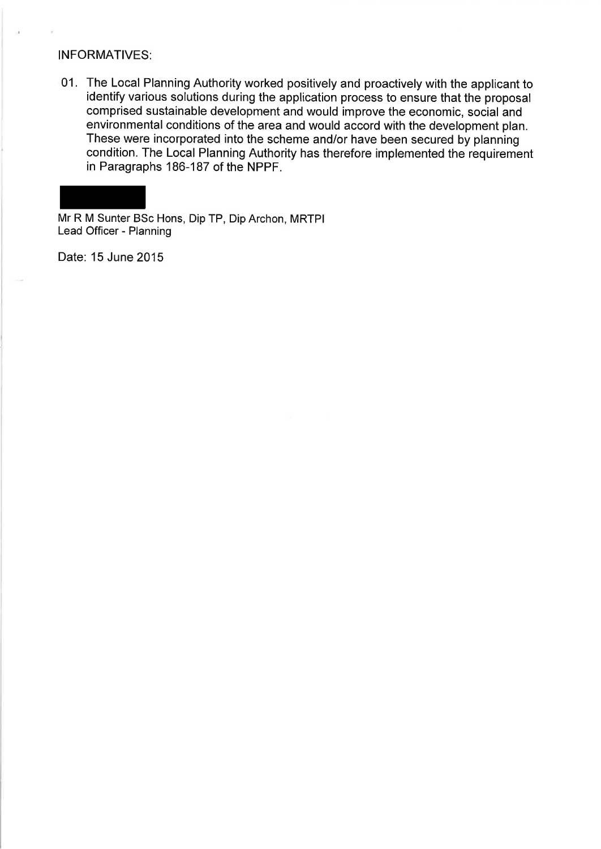# **INFORMATIVES:**

01. The Local Planning Authority worked positively and proactively with the applicant to identify various solutions during the application process to ensure that the proposal comprised sustainable development and would improve the economic, social and environmental conditions of the area and would accord with the development plan. These were incorporated into the scheme and/or have been secured by planning condition. The Local Planning Authority has therefore implemented the requirement in Paragraphs 186-187 of the NPPF.

Mr R M Sunter BSc Hons, Dip TP, Dip Archon, MRTPI Lead Officer - Planning

Date: 15 June 2015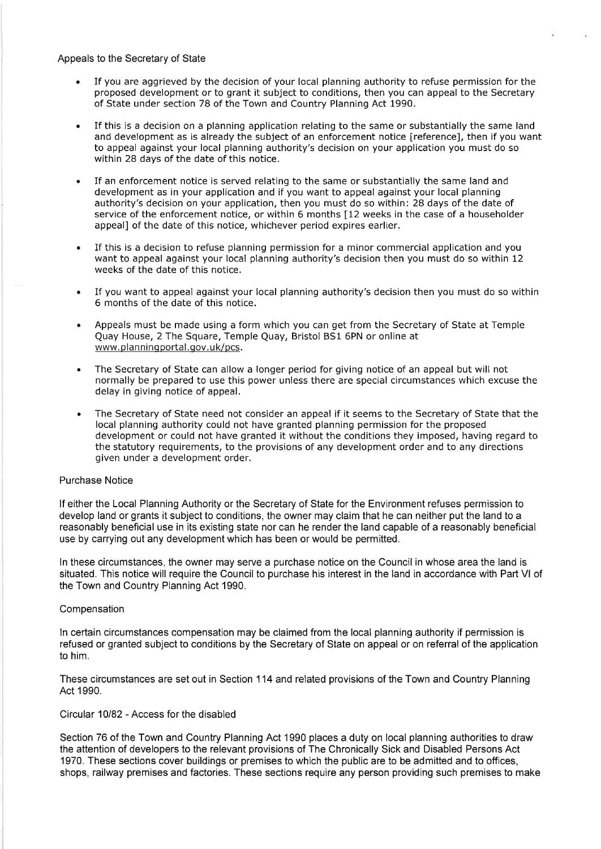Appeals to the Secretary of State

If you are aggrieved by the decision of your local planning authority to refuse permission for the proposed development or to grant it subject to conditions, then you can appeal to the Secretary of State under section 78 of the Town and Country Planning Act 1990.

 $\sim 0.1$ 

- If this is a decision on a planning application relating to the same or substantially the same land and development as is already the subject of an enforcement notice [reference], then if you want to appeal against your local planning authority's decision on your application you must do so within 28 days of the date of this notice.
- If an enforcement notice is served relating to the same or substantially the same land and development as in your application and if you want to appeal against your local planning authority's decision on your application, then you must do so within: 28 days of the date of service of the enforcement notice, or within 6 months [12 weeks in the case of a householder appeal] of the date of this notice, whichever period expires earlier.
- If this is a decision to refuse planning permission for a minor commercial application and you want to appeal against your local planning authority's decision then you must do so within 12 weeks of the date of this notice.
- If you want to appeal against your local planning authority's decision then you must do so within 6 months of the date of this notice.
- Appeals must be made using a form which you can get from the Secretary of State at Temple  $\bullet$ Quay House, 2 The Square, Temple Quay, Bristol BS1 6PN or online at www.planningportal.gov.uk/pcs.
- The Secretary of State can allow a longer period for giving notice of an appeal but will not  $\bullet$ normally be prepared to use this power unless there are special circumstances which excuse the delay in giving notice of appeal.
- The Secretary of State need not consider an appeal if it seems to the Secretary of State that the  $\bullet$ local planning authority could not have granted planning permission for the proposed development or could not have granted it without the conditions they imposed, having regard to the statutory requirements, to the provisions of any development order and to any directions given under a development order.

#### **Purchase Notice**

If either the Local Planning Authority or the Secretary of State for the Environment refuses permission to develop land or grants it subject to conditions, the owner may claim that he can neither put the land to a reasonably beneficial use in its existing state nor can he render the land capable of a reasonably beneficial use by carrying out any development which has been or would be permitted.

In these circumstances, the owner may serve a purchase notice on the Council in whose area the land is situated. This notice will require the Council to purchase his interest in the land in accordance with Part VI of the Town and Country Planning Act 1990.

#### Compensation

In certain circumstances compensation may be claimed from the local planning authority if permission is refused or granted subject to conditions by the Secretary of State on appeal or on referral of the application to him.

These circumstances are set out in Section 114 and related provisions of the Town and Country Planning Act 1990.

### Circular 10/82 - Access for the disabled

Section 76 of the Town and Country Planning Act 1990 places a duty on local planning authorities to draw the attention of developers to the relevant provisions of The Chronically Sick and Disabled Persons Act 1970. These sections cover buildings or premises to which the public are to be admitted and to offices, shops, railway premises and factories. These sections require any person providing such premises to make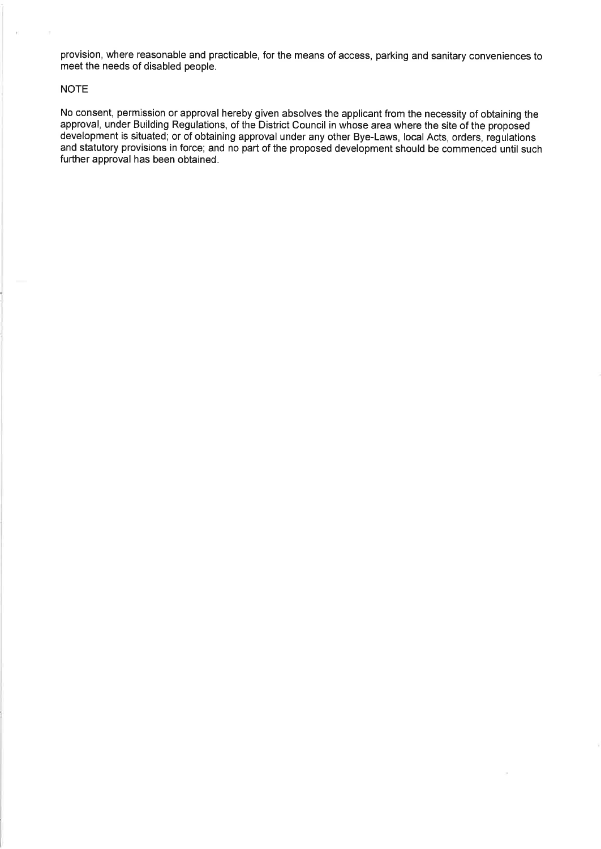provision, where reasonable and practicable, for the means of access, parking and sanitary conveniences to meet the needs of disabled people.

#### **NOTE**

No consent, permission or approval hereby given absolves the applicant from the necessity of obtaining the approval, under Building Regulations, of the District Council in whose area where the site of the proposed development is situated, or of obtaining approval under any other Bye-Laws, local Acts, orders, regulations and statutory provisions in force; and no part of the proposed development should be commenced until such further approval has been obtained.